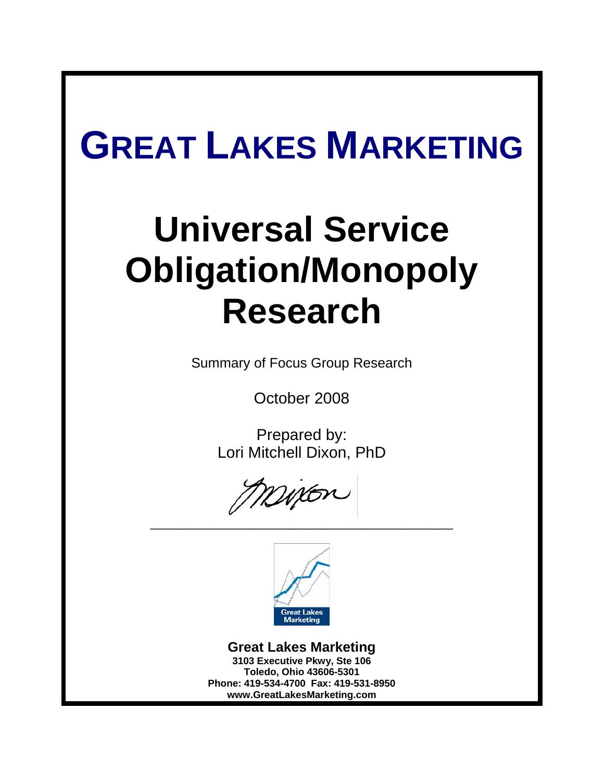# **GREAT LAKES MARKETING**

# **Universal Service Obligation/Monopoly Research**

Summary of Focus Group Research

October 2008

Prepared by: Lori Mitchell Dixon, PhD



\_\_\_\_\_\_\_\_\_\_\_\_\_\_\_\_\_\_\_\_\_\_\_\_\_\_\_\_\_\_\_\_\_\_\_\_\_\_\_\_\_\_\_\_\_\_

**Great Lakes Marketing 3103 Executive Pkwy, Ste 106 Toledo, Ohio 43606-5301 Phone: 419-534-4700 Fax: 419-531-8950 www.GreatLakesMarketing.com**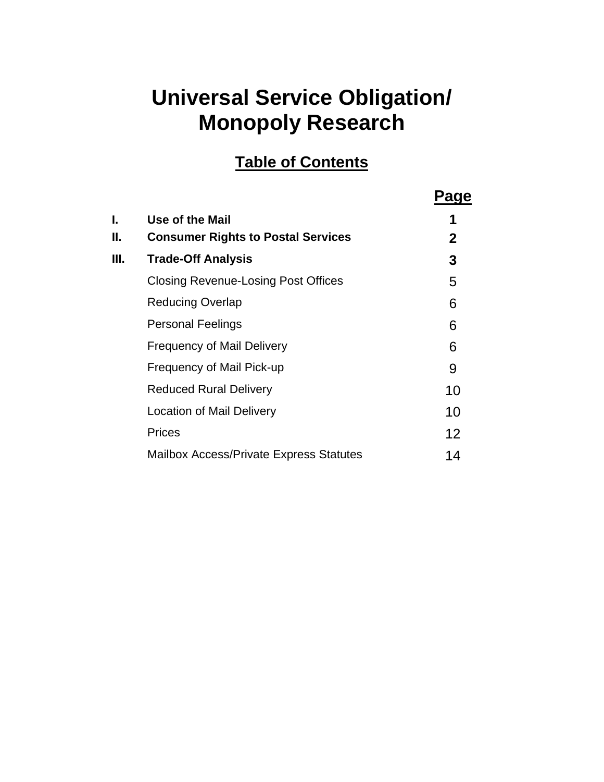# **Universal Service Obligation/ Monopoly Research**

## **Table of Contents**

|     |                                                | Page         |
|-----|------------------------------------------------|--------------|
| I.  | Use of the Mail                                | 1            |
| II. | <b>Consumer Rights to Postal Services</b>      | $\mathbf{2}$ |
| Ш.  | <b>Trade-Off Analysis</b>                      | 3            |
|     | <b>Closing Revenue-Losing Post Offices</b>     | 5            |
|     | <b>Reducing Overlap</b>                        | 6            |
|     | <b>Personal Feelings</b>                       | 6            |
|     | <b>Frequency of Mail Delivery</b>              | 6            |
|     | Frequency of Mail Pick-up                      | 9            |
|     | Reduced Rural Delivery                         | 10           |
|     | <b>Location of Mail Delivery</b>               | 10           |
|     | <b>Prices</b>                                  | 12           |
|     | <b>Mailbox Access/Private Express Statutes</b> | 14           |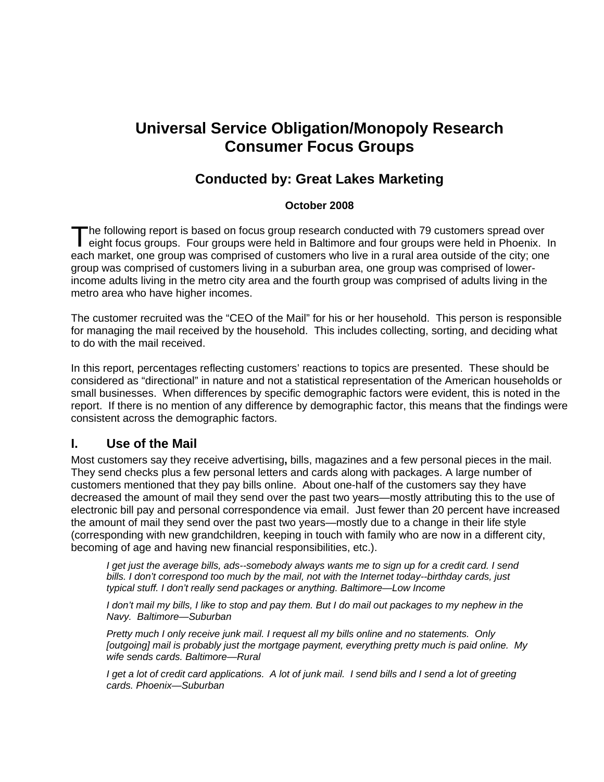## **Universal Service Obligation/Monopoly Research Consumer Focus Groups**

### **Conducted by: Great Lakes Marketing**

#### **October 2008**

he following report is based on focus group research conducted with 79 customers spread over The following report is based on focus group research conducted with 79 customers spread over<br>
eight focus groups. Four groups were held in Baltimore and four groups were held in Phoenix. In each market, one group was comprised of customers who live in a rural area outside of the city; one group was comprised of customers living in a suburban area, one group was comprised of lowerincome adults living in the metro city area and the fourth group was comprised of adults living in the metro area who have higher incomes.

The customer recruited was the "CEO of the Mail" for his or her household. This person is responsible for managing the mail received by the household. This includes collecting, sorting, and deciding what to do with the mail received.

In this report, percentages reflecting customers' reactions to topics are presented. These should be considered as "directional" in nature and not a statistical representation of the American households or small businesses. When differences by specific demographic factors were evident, this is noted in the report. If there is no mention of any difference by demographic factor, this means that the findings were consistent across the demographic factors.

#### **I. Use of the Mail**

Most customers say they receive advertising**,** bills, magazines and a few personal pieces in the mail. They send checks plus a few personal letters and cards along with packages. A large number of customers mentioned that they pay bills online. About one-half of the customers say they have decreased the amount of mail they send over the past two years—mostly attributing this to the use of electronic bill pay and personal correspondence via email. Just fewer than 20 percent have increased the amount of mail they send over the past two years—mostly due to a change in their life style (corresponding with new grandchildren, keeping in touch with family who are now in a different city, becoming of age and having new financial responsibilities, etc.).

*I get just the average bills, ads--somebody always wants me to sign up for a credit card. I send bills. I don't correspond too much by the mail, not with the Internet today--birthday cards, just typical stuff. I don't really send packages or anything. Baltimore—Low Income* 

*I don't mail my bills, I like to stop and pay them. But I do mail out packages to my nephew in the Navy. Baltimore—Suburban* 

*Pretty much I only receive junk mail. I request all my bills online and no statements. Only [outgoing] mail is probably just the mortgage payment, everything pretty much is paid online. My wife sends cards. Baltimore—Rural* 

*I get a lot of credit card applications. A lot of junk mail. I send bills and I send a lot of greeting cards. Phoenix—Suburban*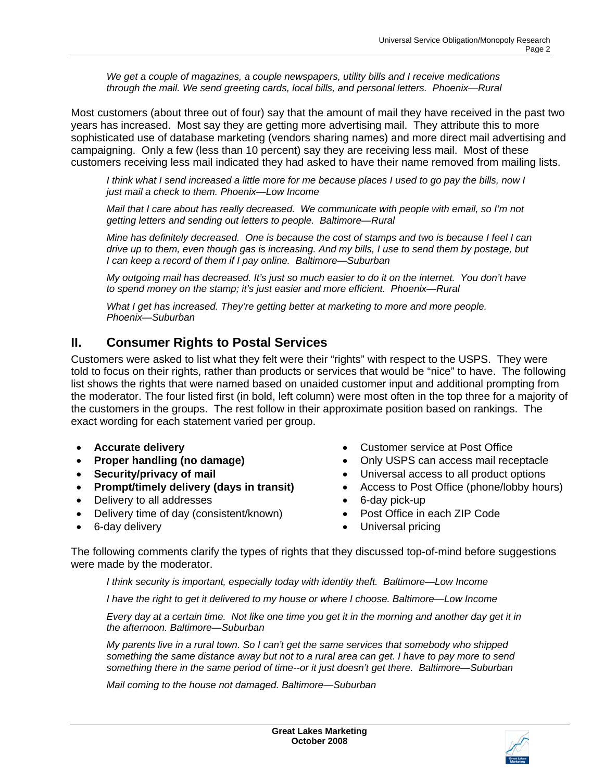*We get a couple of magazines, a couple newspapers, utility bills and I receive medications through the mail. We send greeting cards, local bills, and personal letters. Phoenix—Rural* 

Most customers (about three out of four) say that the amount of mail they have received in the past two years has increased. Most say they are getting more advertising mail. They attribute this to more sophisticated use of database marketing (vendors sharing names) and more direct mail advertising and campaigning. Only a few (less than 10 percent) say they are receiving less mail. Most of these customers receiving less mail indicated they had asked to have their name removed from mailing lists.

*I think what I send increased a little more for me because places I used to go pay the bills, now I just mail a check to them. Phoenix—Low Income* 

*Mail that I care about has really decreased. We communicate with people with email, so I'm not getting letters and sending out letters to people. Baltimore—Rural* 

*Mine has definitely decreased. One is because the cost of stamps and two is because I feel I can drive up to them, even though gas is increasing. And my bills, I use to send them by postage, but I can keep a record of them if I pay online. Baltimore—Suburban* 

*My outgoing mail has decreased. It's just so much easier to do it on the internet. You don't have to spend money on the stamp; it's just easier and more efficient. Phoenix—Rural* 

*What I get has increased. They're getting better at marketing to more and more people. Phoenix—Suburban* 

### **II. Consumer Rights to Postal Services**

Customers were asked to list what they felt were their "rights" with respect to the USPS. They were told to focus on their rights, rather than products or services that would be "nice" to have. The following list shows the rights that were named based on unaided customer input and additional prompting from the moderator. The four listed first (in bold, left column) were most often in the top three for a majority of the customers in the groups. The rest follow in their approximate position based on rankings. The exact wording for each statement varied per group.

- 
- 
- 
- 
- Delivery to all addresses 6-day pick-up
- Delivery time of day (consistent/known) Post Office in each ZIP Code
- 
- **Accurate delivery**  Customer service at Post Office
	- **Proper handling (no damage)**  $\bullet$  **Only USPS can access mail receptacle**
- **Security/privacy of mail**  Universal access to all product options
	- **Prompt/timely delivery (days in transit)**  Access to Post Office (phone/lobby hours)
		-
		-
- 6-day delivery  **Construction Universal pricing**

The following comments clarify the types of rights that they discussed top-of-mind before suggestions were made by the moderator.

*I think security is important, especially today with identity theft. Baltimore—Low Income* 

*I* have the right to get it delivered to my house or where I choose. Baltimore—Low Income

*Every day at a certain time. Not like one time you get it in the morning and another day get it in the afternoon. Baltimore—Suburban* 

*My parents live in a rural town. So I can't get the same services that somebody who shipped something the same distance away but not to a rural area can get. I have to pay more to send something there in the same period of time--or it just doesn't get there. Baltimore—Suburban* 

*Mail coming to the house not damaged. Baltimore—Suburban* 

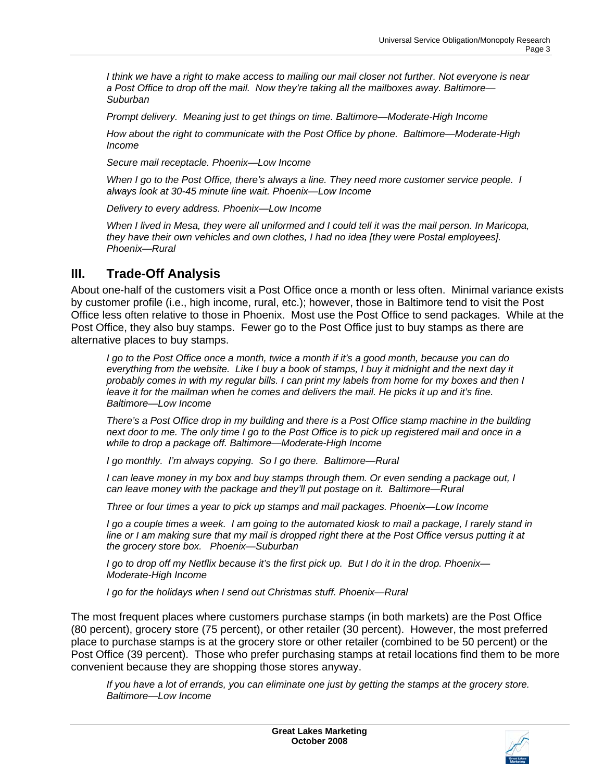*I think we have a right to make access to mailing our mail closer not further. Not everyone is near a Post Office to drop off the mail. Now they're taking all the mailboxes away. Baltimore— Suburban* 

*Prompt delivery. Meaning just to get things on time. Baltimore—Moderate-High Income* 

*How about the right to communicate with the Post Office by phone. Baltimore—Moderate-High Income* 

*Secure mail receptacle. Phoenix—Low Income* 

*When I go to the Post Office, there's always a line. They need more customer service people. I always look at 30-45 minute line wait. Phoenix—Low Income* 

*Delivery to every address. Phoenix—Low Income* 

*When I lived in Mesa, they were all uniformed and I could tell it was the mail person. In Maricopa, they have their own vehicles and own clothes, I had no idea [they were Postal employees]. Phoenix—Rural* 

#### **III. Trade-Off Analysis**

About one-half of the customers visit a Post Office once a month or less often. Minimal variance exists by customer profile (i.e., high income, rural, etc.); however, those in Baltimore tend to visit the Post Office less often relative to those in Phoenix. Most use the Post Office to send packages. While at the Post Office, they also buy stamps. Fewer go to the Post Office just to buy stamps as there are alternative places to buy stamps.

*I go to the Post Office once a month, twice a month if it's a good month, because you can do everything from the website. Like I buy a book of stamps, I buy it midnight and the next day it probably comes in with my regular bills. I can print my labels from home for my boxes and then I*  leave it for the mailman when he comes and delivers the mail. He picks it up and it's fine. *Baltimore—Low Income* 

*There's a Post Office drop in my building and there is a Post Office stamp machine in the building next door to me. The only time I go to the Post Office is to pick up registered mail and once in a while to drop a package off. Baltimore—Moderate-High Income* 

*I go monthly. I'm always copying. So I go there. Baltimore—Rural* 

*I can leave money in my box and buy stamps through them. Or even sending a package out, I can leave money with the package and they'll put postage on it. Baltimore—Rural* 

*Three or four times a year to pick up stamps and mail packages. Phoenix—Low Income* 

*I go a couple times a week. I am going to the automated kiosk to mail a package, I rarely stand in line or I am making sure that my mail is dropped right there at the Post Office versus putting it at the grocery store box. Phoenix—Suburban* 

*I go to drop off my Netflix because it's the first pick up. But I do it in the drop. Phoenix— Moderate-High Income* 

*I go for the holidays when I send out Christmas stuff. Phoenix—Rural* 

The most frequent places where customers purchase stamps (in both markets) are the Post Office (80 percent), grocery store (75 percent), or other retailer (30 percent). However, the most preferred place to purchase stamps is at the grocery store or other retailer (combined to be 50 percent) or the Post Office (39 percent). Those who prefer purchasing stamps at retail locations find them to be more convenient because they are shopping those stores anyway.

*If you have a lot of errands, you can eliminate one just by getting the stamps at the grocery store. Baltimore—Low Income* 

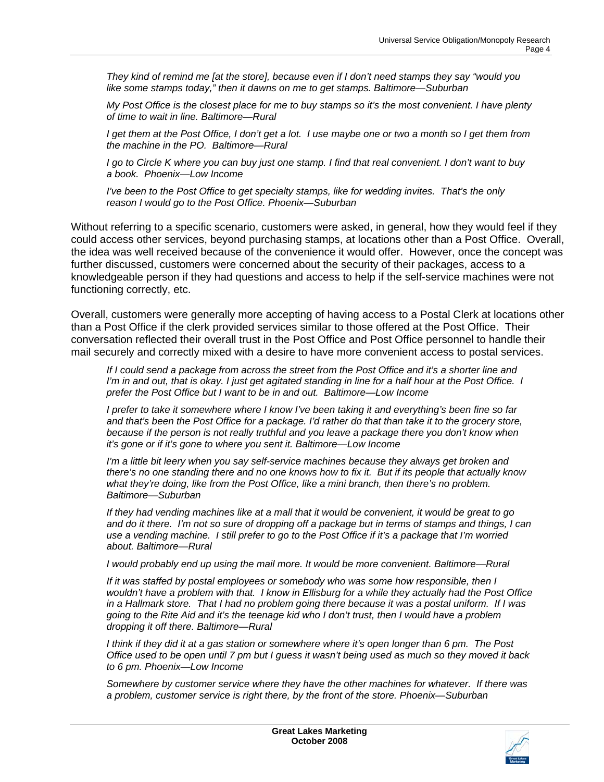*They kind of remind me [at the store], because even if I don't need stamps they say "would you like some stamps today," then it dawns on me to get stamps. Baltimore—Suburban* 

*My Post Office is the closest place for me to buy stamps so it's the most convenient. I have plenty of time to wait in line. Baltimore—Rural* 

*I get them at the Post Office, I don't get a lot. I use maybe one or two a month so I get them from the machine in the PO. Baltimore—Rural* 

*I go to Circle K where you can buy just one stamp. I find that real convenient. I don't want to buy a book. Phoenix—Low Income* 

*I've been to the Post Office to get specialty stamps, like for wedding invites. That's the only reason I would go to the Post Office. Phoenix—Suburban* 

Without referring to a specific scenario, customers were asked, in general, how they would feel if they could access other services, beyond purchasing stamps, at locations other than a Post Office. Overall, the idea was well received because of the convenience it would offer. However, once the concept was further discussed, customers were concerned about the security of their packages, access to a knowledgeable person if they had questions and access to help if the self-service machines were not functioning correctly, etc.

Overall, customers were generally more accepting of having access to a Postal Clerk at locations other than a Post Office if the clerk provided services similar to those offered at the Post Office. Their conversation reflected their overall trust in the Post Office and Post Office personnel to handle their mail securely and correctly mixed with a desire to have more convenient access to postal services.

*If I could send a package from across the street from the Post Office and it's a shorter line and I'm in and out, that is okay. I just get agitated standing in line for a half hour at the Post Office. I prefer the Post Office but I want to be in and out. Baltimore—Low Income* 

*I prefer to take it somewhere where I know I've been taking it and everything's been fine so far and that's been the Post Office for a package. I'd rather do that than take it to the grocery store, because if the person is not really truthful and you leave a package there you don't know when it's gone or if it's gone to where you sent it. Baltimore—Low Income* 

*I'm a little bit leery when you say self-service machines because they always get broken and there's no one standing there and no one knows how to fix it. But if its people that actually know what they're doing, like from the Post Office, like a mini branch, then there's no problem. Baltimore—Suburban* 

*If they had vending machines like at a mall that it would be convenient, it would be great to go and do it there. I'm not so sure of dropping off a package but in terms of stamps and things, I can use a vending machine. I still prefer to go to the Post Office if it's a package that I'm worried about. Baltimore—Rural* 

*I* would probably end up using the mail more. It would be more convenient. Baltimore—Rural

*If it was staffed by postal employees or somebody who was some how responsible, then I wouldn't have a problem with that. I know in Ellisburg for a while they actually had the Post Office in a Hallmark store. That I had no problem going there because it was a postal uniform. If I was going to the Rite Aid and it's the teenage kid who I don't trust, then I would have a problem dropping it off there. Baltimore—Rural* 

*I think if they did it at a gas station or somewhere where it's open longer than 6 pm. The Post Office used to be open until 7 pm but I guess it wasn't being used as much so they moved it back to 6 pm. Phoenix—Low Income* 

*Somewhere by customer service where they have the other machines for whatever. If there was a problem, customer service is right there, by the front of the store. Phoenix—Suburban* 

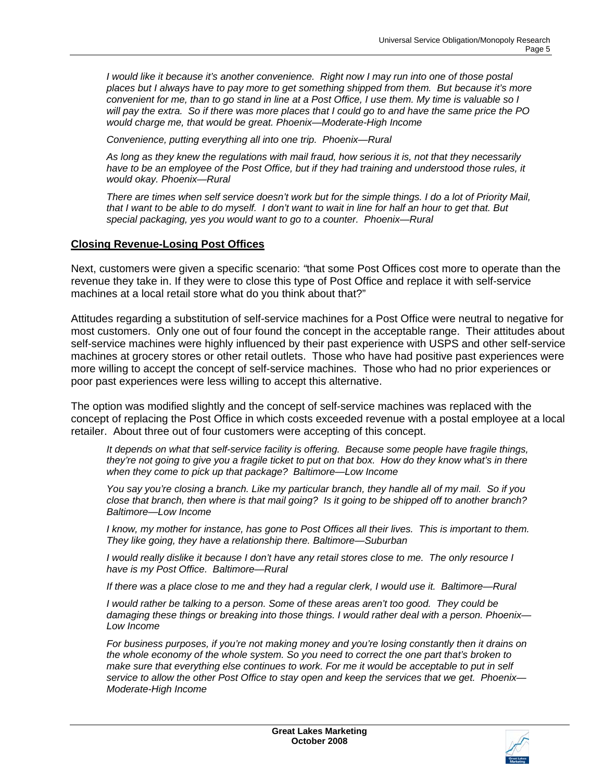*I would like it because it's another convenience. Right now I may run into one of those postal places but I always have to pay more to get something shipped from them. But because it's more convenient for me, than to go stand in line at a Post Office, I use them. My time is valuable so I will pay the extra. So if there was more places that I could go to and have the same price the PO would charge me, that would be great. Phoenix—Moderate-High Income* 

*Convenience, putting everything all into one trip. Phoenix—Rural* 

*As long as they knew the regulations with mail fraud, how serious it is, not that they necessarily*  have to be an employee of the Post Office, but if they had training and understood those rules, it *would okay. Phoenix—Rural* 

*There are times when self service doesn't work but for the simple things. I do a lot of Priority Mail, that I want to be able to do myself. I don't want to wait in line for half an hour to get that. But special packaging, yes you would want to go to a counter. Phoenix—Rural* 

#### **Closing Revenue-Losing Post Offices**

Next, customers were given a specific scenario: *"*that some Post Offices cost more to operate than the revenue they take in. If they were to close this type of Post Office and replace it with self-service machines at a local retail store what do you think about that?"

Attitudes regarding a substitution of self-service machines for a Post Office were neutral to negative for most customers. Only one out of four found the concept in the acceptable range. Their attitudes about self-service machines were highly influenced by their past experience with USPS and other self-service machines at grocery stores or other retail outlets. Those who have had positive past experiences were more willing to accept the concept of self-service machines. Those who had no prior experiences or poor past experiences were less willing to accept this alternative.

The option was modified slightly and the concept of self-service machines was replaced with the concept of replacing the Post Office in which costs exceeded revenue with a postal employee at a local retailer. About three out of four customers were accepting of this concept.

*It depends on what that self-service facility is offering. Because some people have fragile things, they're not going to give you a fragile ticket to put on that box. How do they know what's in there when they come to pick up that package? Baltimore—Low Income* 

*You say you're closing a branch. Like my particular branch, they handle all of my mail. So if you close that branch, then where is that mail going? Is it going to be shipped off to another branch? Baltimore—Low Income* 

*I know, my mother for instance, has gone to Post Offices all their lives. This is important to them. They like going, they have a relationship there. Baltimore—Suburban* 

*I would really dislike it because I don't have any retail stores close to me. The only resource I have is my Post Office. Baltimore—Rural* 

*If there was a place close to me and they had a regular clerk, I would use it. Baltimore—Rural* 

*I would rather be talking to a person. Some of these areas aren't too good. They could be damaging these things or breaking into those things. I would rather deal with a person. Phoenix— Low Income* 

*For business purposes, if you're not making money and you're losing constantly then it drains on the whole economy of the whole system. So you need to correct the one part that's broken to*  make sure that everything else continues to work. For me it would be acceptable to put in self *service to allow the other Post Office to stay open and keep the services that we get. Phoenix— Moderate-High Income* 

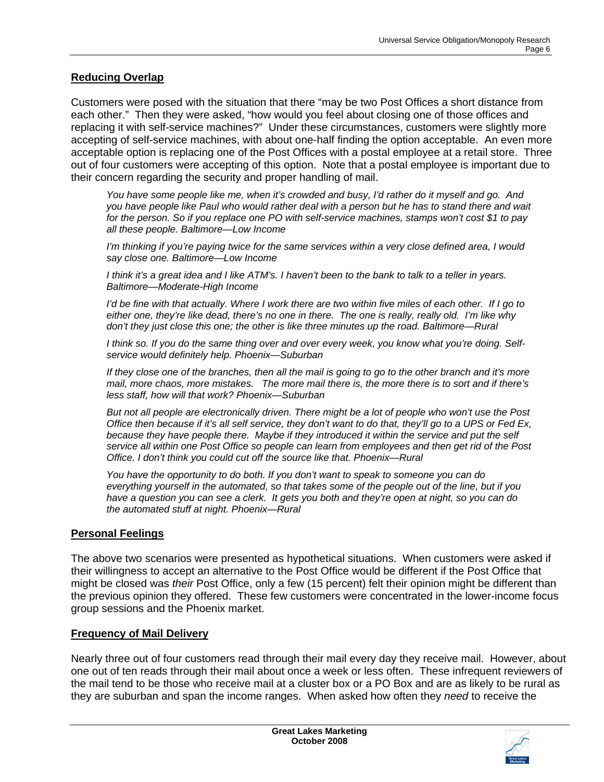#### **Reducing Overlap**

Customers were posed with the situation that there "may be two Post Offices a short distance from each other." Then they were asked, "how would you feel about closing one of those offices and replacing it with self-service machines?" Under these circumstances, customers were slightly more accepting of self-service machines, with about one-half finding the option acceptable. An even more acceptable option is replacing one of the Post Offices with a postal employee at a retail store. Three out of four customers were accepting of this option. Note that a postal employee is important due to their concern regarding the security and proper handling of mail.

*You have some people like me, when it's crowded and busy, I'd rather do it myself and go. And you have people like Paul who would rather deal with a person but he has to stand there and wait for the person. So if you replace one PO with self-service machines, stamps won't cost \$1 to pay all these people. Baltimore—Low Income* 

*I'm thinking if you're paying twice for the same services within a very close defined area, I would say close one. Baltimore—Low Income* 

*I think it's a great idea and I like ATM's. I haven't been to the bank to talk to a teller in years. Baltimore—Moderate-High Income* 

*I'd be fine with that actually. Where I work there are two within five miles of each other. If I go to either one, they're like dead, there's no one in there. The one is really, really old. I'm like why don't they just close this one; the other is like three minutes up the road. Baltimore—Rural* 

*I think so. If you do the same thing over and over every week, you know what you're doing. Selfservice would definitely help. Phoenix—Suburban* 

*If they close one of the branches, then all the mail is going to go to the other branch and it's more mail, more chaos, more mistakes. The more mail there is, the more there is to sort and if there's less staff, how will that work? Phoenix—Suburban* 

*But not all people are electronically driven. There might be a lot of people who won't use the Post Office then because if it's all self service, they don't want to do that, they'll go to a UPS or Fed Ex, because they have people there. Maybe if they introduced it within the service and put the self service all within one Post Office so people can learn from employees and then get rid of the Post Office. I don't think you could cut off the source like that. Phoenix—Rural* 

*You have the opportunity to do both. If you don't want to speak to someone you can do everything yourself in the automated, so that takes some of the people out of the line, but if you have a question you can see a clerk. It gets you both and they're open at night, so you can do the automated stuff at night. Phoenix—Rural*

#### **Personal Feelings**

The above two scenarios were presented as hypothetical situations. When customers were asked if their willingness to accept an alternative to the Post Office would be different if the Post Office that might be closed was *their* Post Office, only a few (15 percent) felt their opinion might be different than the previous opinion they offered. These few customers were concentrated in the lower-income focus group sessions and the Phoenix market.

#### **Frequency of Mail Delivery**

Nearly three out of four customers read through their mail every day they receive mail. However, about one out of ten reads through their mail about once a week or less often. These infrequent reviewers of the mail tend to be those who receive mail at a cluster box or a PO Box and are as likely to be rural as they are suburban and span the income ranges. When asked how often they *need* to receive the

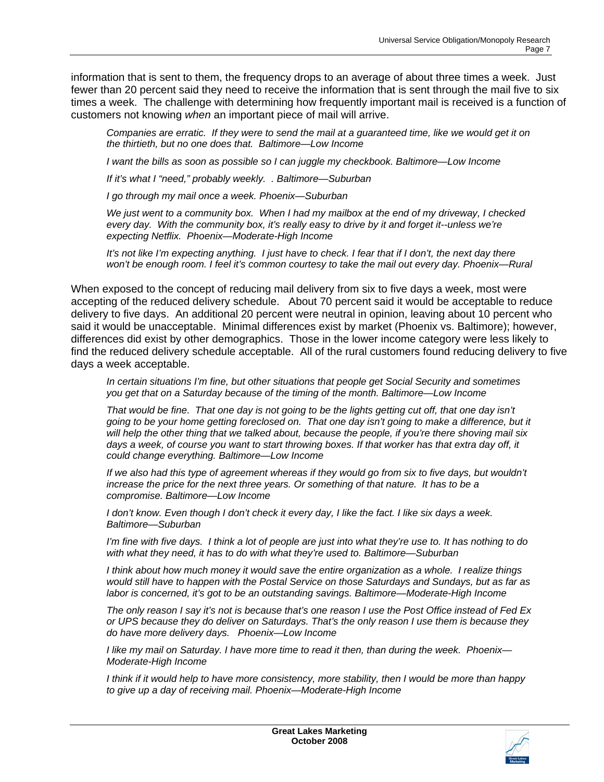information that is sent to them, the frequency drops to an average of about three times a week. Just fewer than 20 percent said they need to receive the information that is sent through the mail five to six times a week. The challenge with determining how frequently important mail is received is a function of customers not knowing *when* an important piece of mail will arrive.

*Companies are erratic. If they were to send the mail at a guaranteed time, like we would get it on the thirtieth, but no one does that. Baltimore—Low Income* 

*I* want the bills as soon as possible so *I* can juggle my checkbook. Baltimore—Low Income

*If it's what I "need," probably weekly. . Baltimore—Suburban* 

*I go through my mail once a week. Phoenix—Suburban* 

*We just went to a community box. When I had my mailbox at the end of my driveway, I checked every day. With the community box, it's really easy to drive by it and forget it--unless we're expecting Netflix. Phoenix—Moderate-High Income* 

*It's not like I'm expecting anything. I just have to check. I fear that if I don't, the next day there won't be enough room. I feel it's common courtesy to take the mail out every day. Phoenix—Rural* 

When exposed to the concept of reducing mail delivery from six to five days a week, most were accepting of the reduced delivery schedule. About 70 percent said it would be acceptable to reduce delivery to five days. An additional 20 percent were neutral in opinion, leaving about 10 percent who said it would be unacceptable. Minimal differences exist by market (Phoenix vs. Baltimore); however, differences did exist by other demographics. Those in the lower income category were less likely to find the reduced delivery schedule acceptable. All of the rural customers found reducing delivery to five days a week acceptable.

*In certain situations I'm fine, but other situations that people get Social Security and sometimes you get that on a Saturday because of the timing of the month. Baltimore—Low Income* 

*That would be fine. That one day is not going to be the lights getting cut off, that one day isn't going to be your home getting foreclosed on. That one day isn't going to make a difference, but it will help the other thing that we talked about, because the people, if you're there shoving mail six days a week, of course you want to start throwing boxes. If that worker has that extra day off, it could change everything. Baltimore—Low Income* 

If we also had this type of agreement whereas if they would go from six to five days, but wouldn't *increase the price for the next three years. Or something of that nature. It has to be a compromise. Baltimore—Low Income* 

*I don't know. Even though I don't check it every day, I like the fact. I like six days a week. Baltimore—Suburban* 

*I'm fine with five days. I think a lot of people are just into what they're use to. It has nothing to do with what they need, it has to do with what they're used to. Baltimore—Suburban* 

*I think about how much money it would save the entire organization as a whole. I realize things would still have to happen with the Postal Service on those Saturdays and Sundays, but as far as labor is concerned, it's got to be an outstanding savings. Baltimore—Moderate-High Income* 

*The only reason I say it's not is because that's one reason I use the Post Office instead of Fed Ex or UPS because they do deliver on Saturdays. That's the only reason I use them is because they do have more delivery days. Phoenix—Low Income* 

*I like my mail on Saturday. I have more time to read it then, than during the week. Phoenix— Moderate-High Income* 

*I think if it would help to have more consistency, more stability, then I would be more than happy to give up a day of receiving mail. Phoenix—Moderate-High Income* 

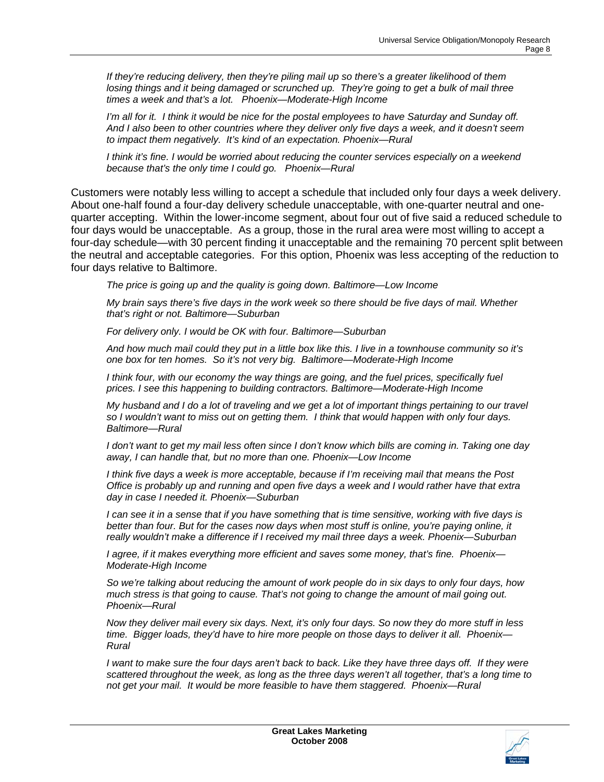*If they're reducing delivery, then they're piling mail up so there's a greater likelihood of them losing things and it being damaged or scrunched up. They're going to get a bulk of mail three times a week and that's a lot. Phoenix—Moderate-High Income* 

*I'm all for it. I think it would be nice for the postal employees to have Saturday and Sunday off. And I also been to other countries where they deliver only five days a week, and it doesn't seem to impact them negatively. It's kind of an expectation. Phoenix—Rural* 

*I think it's fine. I would be worried about reducing the counter services especially on a weekend because that's the only time I could go. Phoenix—Rural* 

Customers were notably less willing to accept a schedule that included only four days a week delivery. About one-half found a four-day delivery schedule unacceptable, with one-quarter neutral and onequarter accepting. Within the lower-income segment, about four out of five said a reduced schedule to four days would be unacceptable. As a group, those in the rural area were most willing to accept a four-day schedule—with 30 percent finding it unacceptable and the remaining 70 percent split between the neutral and acceptable categories. For this option, Phoenix was less accepting of the reduction to four days relative to Baltimore.

*The price is going up and the quality is going down. Baltimore—Low Income* 

*My brain says there's five days in the work week so there should be five days of mail. Whether that's right or not. Baltimore—Suburban* 

*For delivery only. I would be OK with four. Baltimore—Suburban* 

*And how much mail could they put in a little box like this. I live in a townhouse community so it's one box for ten homes. So it's not very big. Baltimore—Moderate-High Income* 

*I think four, with our economy the way things are going, and the fuel prices, specifically fuel prices. I see this happening to building contractors. Baltimore—Moderate-High Income* 

*My husband and I do a lot of traveling and we get a lot of important things pertaining to our travel so I wouldn't want to miss out on getting them. I think that would happen with only four days. Baltimore—Rural* 

*I don't want to get my mail less often since I don't know which bills are coming in. Taking one day away, I can handle that, but no more than one. Phoenix—Low Income* 

*I think five days a week is more acceptable, because if I'm receiving mail that means the Post Office is probably up and running and open five days a week and I would rather have that extra day in case I needed it. Phoenix—Suburban* 

*I can see it in a sense that if you have something that is time sensitive, working with five days is*  better than four. But for the cases now days when most stuff is online, you're paying online, it *really wouldn't make a difference if I received my mail three days a week. Phoenix—Suburban* 

*I agree, if it makes everything more efficient and saves some money, that's fine. Phoenix— Moderate-High Income* 

*So we're talking about reducing the amount of work people do in six days to only four days, how much stress is that going to cause. That's not going to change the amount of mail going out. Phoenix—Rural* 

*Now they deliver mail every six days. Next, it's only four days. So now they do more stuff in less time. Bigger loads, they'd have to hire more people on those days to deliver it all. Phoenix— Rural* 

*I* want to make sure the four days aren't back to back. Like they have three days off. If they were *scattered throughout the week, as long as the three days weren't all together, that's a long time to not get your mail. It would be more feasible to have them staggered. Phoenix—Rural* 

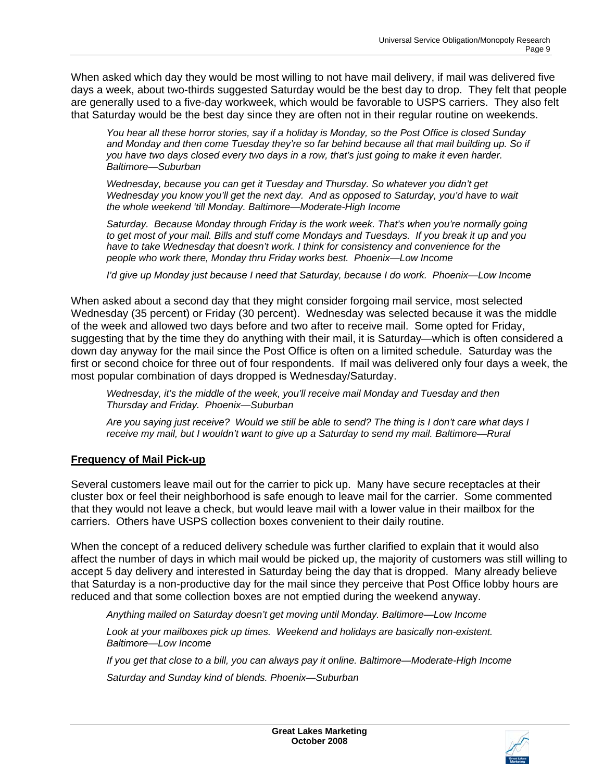When asked which day they would be most willing to not have mail delivery, if mail was delivered five days a week, about two-thirds suggested Saturday would be the best day to drop. They felt that people are generally used to a five-day workweek, which would be favorable to USPS carriers. They also felt that Saturday would be the best day since they are often not in their regular routine on weekends.

*You hear all these horror stories, say if a holiday is Monday, so the Post Office is closed Sunday and Monday and then come Tuesday they're so far behind because all that mail building up. So if you have two days closed every two days in a row, that's just going to make it even harder. Baltimore—Suburban* 

*Wednesday, because you can get it Tuesday and Thursday. So whatever you didn't get Wednesday you know you'll get the next day. And as opposed to Saturday, you'd have to wait the whole weekend 'till Monday. Baltimore—Moderate-High Income* 

*Saturday. Because Monday through Friday is the work week. That's when you're normally going to get most of your mail. Bills and stuff come Mondays and Tuesdays. If you break it up and you have to take Wednesday that doesn't work. I think for consistency and convenience for the people who work there, Monday thru Friday works best. Phoenix—Low Income* 

*I'd give up Monday just because I need that Saturday, because I do work. Phoenix—Low Income* 

When asked about a second day that they might consider forgoing mail service, most selected Wednesday (35 percent) or Friday (30 percent). Wednesday was selected because it was the middle of the week and allowed two days before and two after to receive mail. Some opted for Friday, suggesting that by the time they do anything with their mail, it is Saturday—which is often considered a down day anyway for the mail since the Post Office is often on a limited schedule. Saturday was the first or second choice for three out of four respondents. If mail was delivered only four days a week, the most popular combination of days dropped is Wednesday/Saturday.

*Wednesday, it's the middle of the week, you'll receive mail Monday and Tuesday and then Thursday and Friday. Phoenix—Suburban* 

*Are you saying just receive? Would we still be able to send? The thing is I don't care what days I receive my mail, but I wouldn't want to give up a Saturday to send my mail. Baltimore—Rural* 

#### **Frequency of Mail Pick-up**

Several customers leave mail out for the carrier to pick up. Many have secure receptacles at their cluster box or feel their neighborhood is safe enough to leave mail for the carrier. Some commented that they would not leave a check, but would leave mail with a lower value in their mailbox for the carriers. Others have USPS collection boxes convenient to their daily routine.

When the concept of a reduced delivery schedule was further clarified to explain that it would also affect the number of days in which mail would be picked up, the majority of customers was still willing to accept 5 day delivery and interested in Saturday being the day that is dropped. Many already believe that Saturday is a non-productive day for the mail since they perceive that Post Office lobby hours are reduced and that some collection boxes are not emptied during the weekend anyway.

*Anything mailed on Saturday doesn't get moving until Monday. Baltimore—Low Income* 

*Look at your mailboxes pick up times. Weekend and holidays are basically non-existent. Baltimore—Low Income* 

*If you get that close to a bill, you can always pay it online. Baltimore—Moderate-High Income* 

*Saturday and Sunday kind of blends. Phoenix—Suburban* 

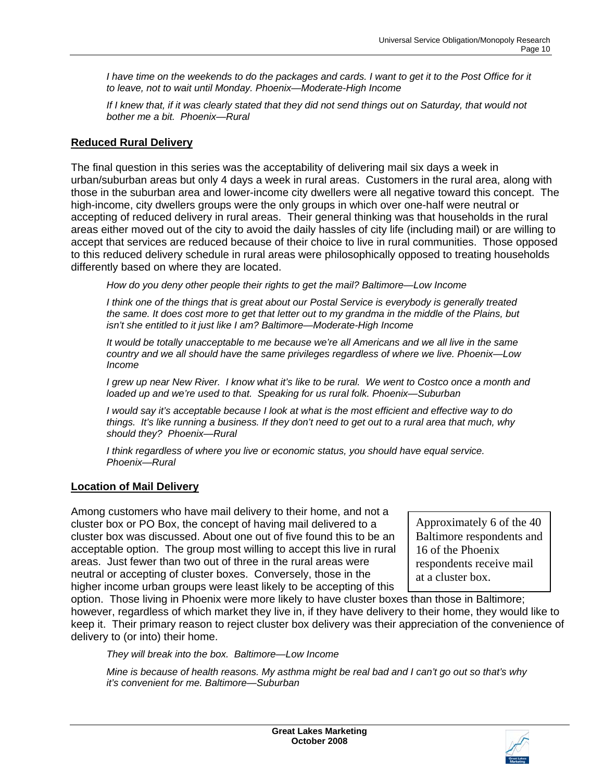*I have time on the weekends to do the packages and cards. I want to get it to the Post Office for it to leave, not to wait until Monday. Phoenix—Moderate-High Income* 

*If I knew that, if it was clearly stated that they did not send things out on Saturday, that would not bother me a bit. Phoenix—Rural* 

#### **Reduced Rural Delivery**

The final question in this series was the acceptability of delivering mail six days a week in urban/suburban areas but only 4 days a week in rural areas. Customers in the rural area, along with those in the suburban area and lower-income city dwellers were all negative toward this concept. The high-income, city dwellers groups were the only groups in which over one-half were neutral or accepting of reduced delivery in rural areas. Their general thinking was that households in the rural areas either moved out of the city to avoid the daily hassles of city life (including mail) or are willing to accept that services are reduced because of their choice to live in rural communities. Those opposed to this reduced delivery schedule in rural areas were philosophically opposed to treating households differently based on where they are located.

*How do you deny other people their rights to get the mail? Baltimore—Low Income* 

*I think one of the things that is great about our Postal Service is everybody is generally treated the same. It does cost more to get that letter out to my grandma in the middle of the Plains, but isn't she entitled to it just like I am? Baltimore—Moderate-High Income* 

*It would be totally unacceptable to me because we're all Americans and we all live in the same country and we all should have the same privileges regardless of where we live. Phoenix—Low Income* 

*I grew up near New River. I know what it's like to be rural. We went to Costco once a month and loaded up and we're used to that. Speaking for us rural folk. Phoenix—Suburban* 

*I would say it's acceptable because I look at what is the most efficient and effective way to do things. It's like running a business. If they don't need to get out to a rural area that much, why should they? Phoenix—Rural* 

*I think regardless of where you live or economic status, you should have equal service. Phoenix—Rural* 

#### **Location of Mail Delivery**

Among customers who have mail delivery to their home, and not a cluster box or PO Box, the concept of having mail delivered to a cluster box was discussed. About one out of five found this to be an acceptable option. The group most willing to accept this live in rural areas. Just fewer than two out of three in the rural areas were neutral or accepting of cluster boxes. Conversely, those in the higher income urban groups were least likely to be accepting of this

Approximately 6 of the 40 Baltimore respondents and 16 of the Phoenix respondents receive mail at a cluster box.

option. Those living in Phoenix were more likely to have cluster boxes than those in Baltimore; however, regardless of which market they live in, if they have delivery to their home, they would like to keep it. Their primary reason to reject cluster box delivery was their appreciation of the convenience of delivery to (or into) their home.

*They will break into the box. Baltimore—Low Income* 

*Mine is because of health reasons. My asthma might be real bad and I can't go out so that's why it's convenient for me. Baltimore—Suburban*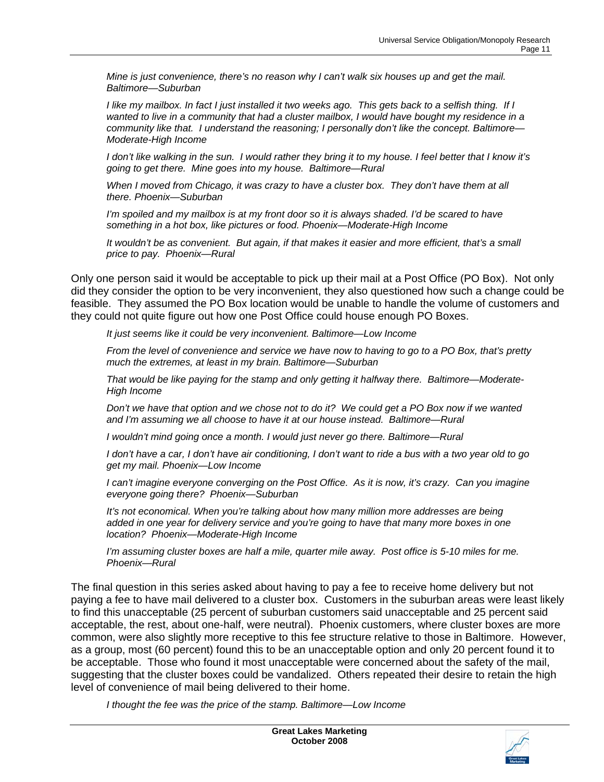*Mine is just convenience, there's no reason why I can't walk six houses up and get the mail. Baltimore—Suburban* 

*I like my mailbox. In fact I just installed it two weeks ago. This gets back to a selfish thing. If I wanted to live in a community that had a cluster mailbox, I would have bought my residence in a community like that. I understand the reasoning; I personally don't like the concept. Baltimore— Moderate-High Income* 

*I don't like walking in the sun. I would rather they bring it to my house. I feel better that I know it's going to get there. Mine goes into my house. Baltimore—Rural* 

*When I moved from Chicago, it was crazy to have a cluster box. They don't have them at all there. Phoenix—Suburban* 

*I'm spoiled and my mailbox is at my front door so it is always shaded. I'd be scared to have something in a hot box, like pictures or food. Phoenix—Moderate-High Income* 

*It wouldn't be as convenient. But again, if that makes it easier and more efficient, that's a small price to pay. Phoenix—Rural* 

Only one person said it would be acceptable to pick up their mail at a Post Office (PO Box). Not only did they consider the option to be very inconvenient, they also questioned how such a change could be feasible. They assumed the PO Box location would be unable to handle the volume of customers and they could not quite figure out how one Post Office could house enough PO Boxes.

*It just seems like it could be very inconvenient. Baltimore—Low Income* 

*From the level of convenience and service we have now to having to go to a PO Box, that's pretty much the extremes, at least in my brain. Baltimore—Suburban* 

*That would be like paying for the stamp and only getting it halfway there. Baltimore—Moderate-High Income* 

*Don't we have that option and we chose not to do it? We could get a PO Box now if we wanted and I'm assuming we all choose to have it at our house instead. Baltimore—Rural* 

*I* wouldn't mind going once a month. I would just never go there. Baltimore—Rural

*I don't have a car, I don't have air conditioning, I don't want to ride a bus with a two year old to go get my mail. Phoenix—Low Income* 

*I can't imagine everyone converging on the Post Office. As it is now, it's crazy. Can you imagine everyone going there? Phoenix—Suburban* 

*It's not economical. When you're talking about how many million more addresses are being added in one year for delivery service and you're going to have that many more boxes in one location? Phoenix—Moderate-High Income* 

*I'm assuming cluster boxes are half a mile, quarter mile away. Post office is 5-10 miles for me. Phoenix—Rural*

The final question in this series asked about having to pay a fee to receive home delivery but not paying a fee to have mail delivered to a cluster box. Customers in the suburban areas were least likely to find this unacceptable (25 percent of suburban customers said unacceptable and 25 percent said acceptable, the rest, about one-half, were neutral). Phoenix customers, where cluster boxes are more common, were also slightly more receptive to this fee structure relative to those in Baltimore. However, as a group, most (60 percent) found this to be an unacceptable option and only 20 percent found it to be acceptable. Those who found it most unacceptable were concerned about the safety of the mail, suggesting that the cluster boxes could be vandalized. Others repeated their desire to retain the high level of convenience of mail being delivered to their home.

*I thought the fee was the price of the stamp. Baltimore—Low Income* 

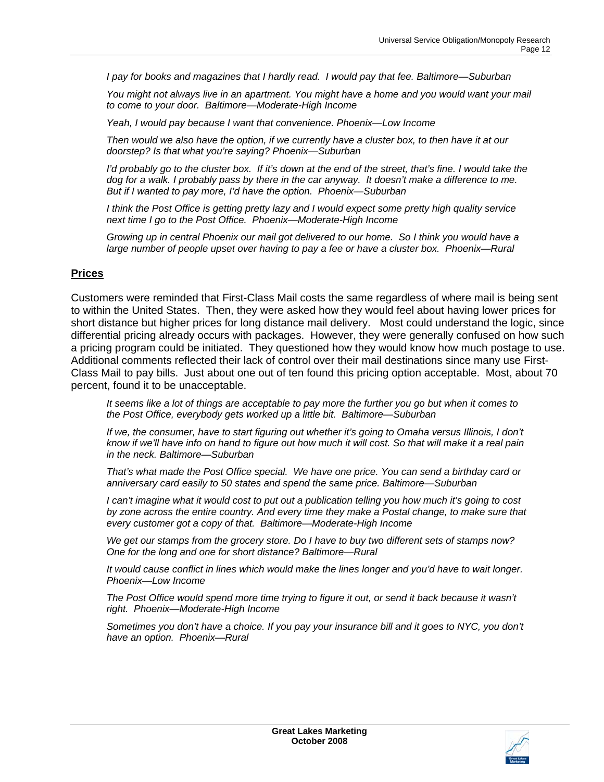*I pay for books and magazines that I hardly read. I would pay that fee. Baltimore—Suburban* 

*You might not always live in an apartment. You might have a home and you would want your mail to come to your door. Baltimore—Moderate-High Income* 

*Yeah, I would pay because I want that convenience. Phoenix—Low Income* 

*Then would we also have the option, if we currently have a cluster box, to then have it at our doorstep? Is that what you're saying? Phoenix—Suburban* 

*I'd probably go to the cluster box. If it's down at the end of the street, that's fine. I would take the dog for a walk. I probably pass by there in the car anyway. It doesn't make a difference to me. But if I wanted to pay more, I'd have the option. Phoenix—Suburban* 

*I think the Post Office is getting pretty lazy and I would expect some pretty high quality service next time I go to the Post Office. Phoenix—Moderate-High Income* 

*Growing up in central Phoenix our mail got delivered to our home. So I think you would have a large number of people upset over having to pay a fee or have a cluster box. Phoenix—Rural* 

#### **Prices**

Customers were reminded that First-Class Mail costs the same regardless of where mail is being sent to within the United States. Then, they were asked how they would feel about having lower prices for short distance but higher prices for long distance mail delivery. Most could understand the logic, since differential pricing already occurs with packages. However, they were generally confused on how such a pricing program could be initiated. They questioned how they would know how much postage to use. Additional comments reflected their lack of control over their mail destinations since many use First-Class Mail to pay bills. Just about one out of ten found this pricing option acceptable. Most, about 70 percent, found it to be unacceptable.

*It seems like a lot of things are acceptable to pay more the further you go but when it comes to the Post Office, everybody gets worked up a little bit. Baltimore—Suburban* 

*If we, the consumer, have to start figuring out whether it's going to Omaha versus Illinois, I don't know if we'll have info on hand to figure out how much it will cost. So that will make it a real pain in the neck. Baltimore—Suburban* 

*That's what made the Post Office special. We have one price. You can send a birthday card or anniversary card easily to 50 states and spend the same price. Baltimore—Suburban* 

*I can't imagine what it would cost to put out a publication telling you how much it's going to cost by zone across the entire country. And every time they make a Postal change, to make sure that every customer got a copy of that. Baltimore—Moderate-High Income* 

*We get our stamps from the grocery store. Do I have to buy two different sets of stamps now? One for the long and one for short distance? Baltimore—Rural* 

*It would cause conflict in lines which would make the lines longer and you'd have to wait longer. Phoenix—Low Income* 

The Post Office would spend more time trying to figure it out, or send it back because it wasn't *right. Phoenix—Moderate-High Income* 

*Sometimes you don't have a choice. If you pay your insurance bill and it goes to NYC, you don't have an option. Phoenix—Rural*

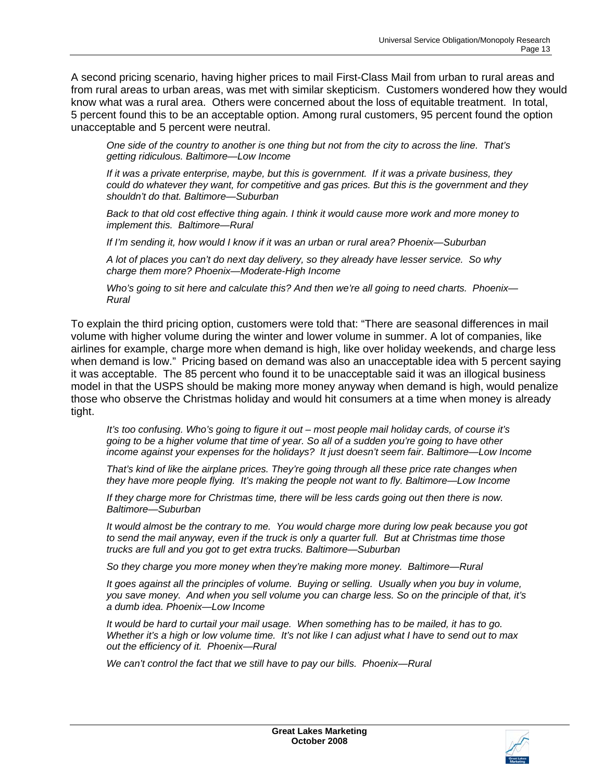A second pricing scenario, having higher prices to mail First-Class Mail from urban to rural areas and from rural areas to urban areas, was met with similar skepticism. Customers wondered how they would know what was a rural area. Others were concerned about the loss of equitable treatment. In total, 5 percent found this to be an acceptable option. Among rural customers, 95 percent found the option unacceptable and 5 percent were neutral.

*One side of the country to another is one thing but not from the city to across the line. That's getting ridiculous. Baltimore—Low Income* 

*If it was a private enterprise, maybe, but this is government. If it was a private business, they could do whatever they want, for competitive and gas prices. But this is the government and they shouldn't do that. Baltimore—Suburban* 

*Back to that old cost effective thing again. I think it would cause more work and more money to implement this. Baltimore—Rural* 

*If I'm sending it, how would I know if it was an urban or rural area? Phoenix—Suburban* 

*A lot of places you can't do next day delivery, so they already have lesser service. So why charge them more? Phoenix—Moderate-High Income* 

*Who's going to sit here and calculate this? And then we're all going to need charts. Phoenix— Rural* 

To explain the third pricing option, customers were told that: "There are seasonal differences in mail volume with higher volume during the winter and lower volume in summer. A lot of companies, like airlines for example, charge more when demand is high, like over holiday weekends, and charge less when demand is low." Pricing based on demand was also an unacceptable idea with 5 percent saying it was acceptable. The 85 percent who found it to be unacceptable said it was an illogical business model in that the USPS should be making more money anyway when demand is high, would penalize those who observe the Christmas holiday and would hit consumers at a time when money is already tight.

*It's too confusing. Who's going to figure it out – most people mail holiday cards, of course it's going to be a higher volume that time of year. So all of a sudden you're going to have other income against your expenses for the holidays? It just doesn't seem fair. Baltimore—Low Income* 

*That's kind of like the airplane prices. They're going through all these price rate changes when they have more people flying. It's making the people not want to fly. Baltimore—Low Income* 

*If they charge more for Christmas time, there will be less cards going out then there is now. Baltimore—Suburban* 

*It would almost be the contrary to me. You would charge more during low peak because you got to send the mail anyway, even if the truck is only a quarter full. But at Christmas time those trucks are full and you got to get extra trucks. Baltimore—Suburban* 

*So they charge you more money when they're making more money. Baltimore—Rural* 

*It goes against all the principles of volume. Buying or selling. Usually when you buy in volume, you save money. And when you sell volume you can charge less. So on the principle of that, it's a dumb idea. Phoenix—Low Income* 

*It would be hard to curtail your mail usage. When something has to be mailed, it has to go. Whether it's a high or low volume time. It's not like I can adjust what I have to send out to max out the efficiency of it. Phoenix—Rural* 

*We can't control the fact that we still have to pay our bills. Phoenix—Rural*

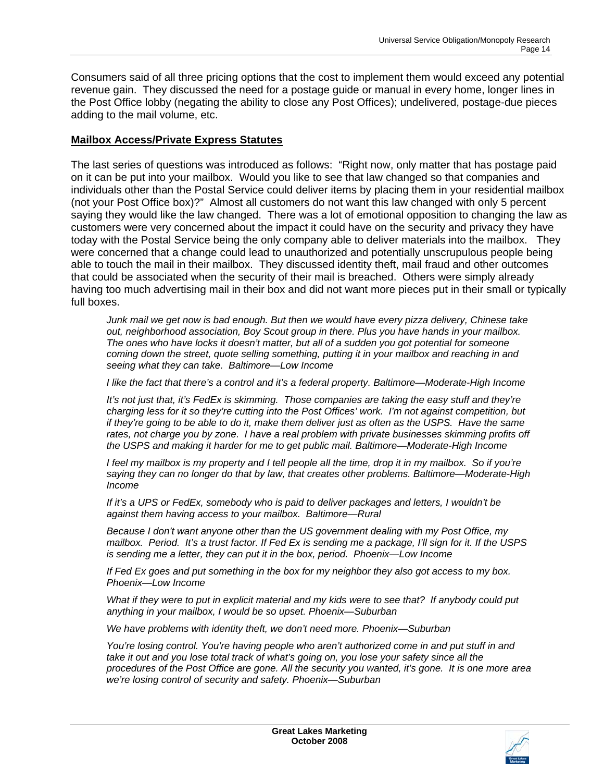Consumers said of all three pricing options that the cost to implement them would exceed any potential revenue gain. They discussed the need for a postage guide or manual in every home, longer lines in the Post Office lobby (negating the ability to close any Post Offices); undelivered, postage-due pieces adding to the mail volume, etc.

#### **Mailbox Access/Private Express Statutes**

The last series of questions was introduced as follows: "Right now, only matter that has postage paid on it can be put into your mailbox. Would you like to see that law changed so that companies and individuals other than the Postal Service could deliver items by placing them in your residential mailbox (not your Post Office box)?" Almost all customers do not want this law changed with only 5 percent saying they would like the law changed. There was a lot of emotional opposition to changing the law as customers were very concerned about the impact it could have on the security and privacy they have today with the Postal Service being the only company able to deliver materials into the mailbox. They were concerned that a change could lead to unauthorized and potentially unscrupulous people being able to touch the mail in their mailbox. They discussed identity theft, mail fraud and other outcomes that could be associated when the security of their mail is breached. Others were simply already having too much advertising mail in their box and did not want more pieces put in their small or typically full boxes.

*Junk mail we get now is bad enough. But then we would have every pizza delivery, Chinese take out, neighborhood association, Boy Scout group in there. Plus you have hands in your mailbox. The ones who have locks it doesn't matter, but all of a sudden you got potential for someone coming down the street, quote selling something, putting it in your mailbox and reaching in and seeing what they can take. Baltimore—Low Income* 

*I like the fact that there's a control and it's a federal property. Baltimore—Moderate-High Income* 

*It's not just that, it's FedEx is skimming. Those companies are taking the easy stuff and they're charging less for it so they're cutting into the Post Offices' work. I'm not against competition, but if they're going to be able to do it, make them deliver just as often as the USPS. Have the same* rates, not charge you by zone. I have a real problem with private businesses skimming profits off *the USPS and making it harder for me to get public mail. Baltimore—Moderate-High Income* 

*I feel my mailbox is my property and I tell people all the time, drop it in my mailbox. So if you're saying they can no longer do that by law, that creates other problems. Baltimore—Moderate-High Income* 

*If it's a UPS or FedEx, somebody who is paid to deliver packages and letters, I wouldn't be against them having access to your mailbox. Baltimore—Rural* 

*Because I don't want anyone other than the US government dealing with my Post Office, my mailbox. Period. It's a trust factor. If Fed Ex is sending me a package, I'll sign for it. If the USPS is sending me a letter, they can put it in the box, period. Phoenix—Low Income* 

*If Fed Ex goes and put something in the box for my neighbor they also got access to my box. Phoenix—Low Income* 

*What if they were to put in explicit material and my kids were to see that? If anybody could put anything in your mailbox, I would be so upset. Phoenix—Suburban* 

*We have problems with identity theft, we don't need more. Phoenix—Suburban* 

*You're losing control. You're having people who aren't authorized come in and put stuff in and take it out and you lose total track of what's going on, you lose your safety since all the procedures of the Post Office are gone. All the security you wanted, it's gone. It is one more area we're losing control of security and safety. Phoenix—Suburban* 

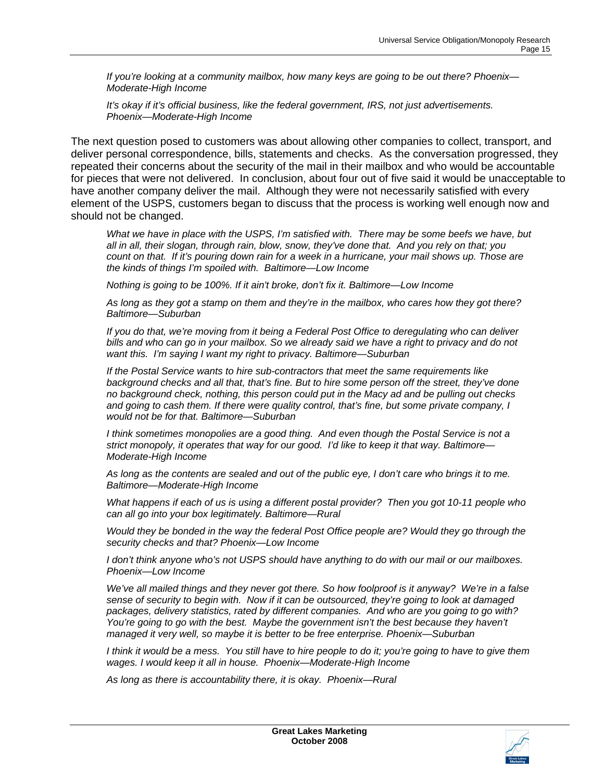*If you're looking at a community mailbox, how many keys are going to be out there? Phoenix— Moderate-High Income* 

*It's okay if it's official business, like the federal government, IRS, not just advertisements. Phoenix—Moderate-High Income*

The next question posed to customers was about allowing other companies to collect, transport, and deliver personal correspondence, bills, statements and checks. As the conversation progressed, they repeated their concerns about the security of the mail in their mailbox and who would be accountable for pieces that were not delivered. In conclusion, about four out of five said it would be unacceptable to have another company deliver the mail. Although they were not necessarily satisfied with every element of the USPS, customers began to discuss that the process is working well enough now and should not be changed.

*What we have in place with the USPS, I'm satisfied with. There may be some beefs we have, but all in all, their slogan, through rain, blow, snow, they've done that. And you rely on that; you count on that. If it's pouring down rain for a week in a hurricane, your mail shows up. Those are the kinds of things I'm spoiled with. Baltimore—Low Income* 

*Nothing is going to be 100%. If it ain't broke, don't fix it. Baltimore—Low Income* 

*As long as they got a stamp on them and they're in the mailbox, who cares how they got there? Baltimore—Suburban* 

*If you do that, we're moving from it being a Federal Post Office to deregulating who can deliver bills and who can go in your mailbox. So we already said we have a right to privacy and do not want this. I'm saying I want my right to privacy. Baltimore—Suburban* 

*If the Postal Service wants to hire sub-contractors that meet the same requirements like background checks and all that, that's fine. But to hire some person off the street, they've done no background check, nothing, this person could put in the Macy ad and be pulling out checks and going to cash them. If there were quality control, that's fine, but some private company, I would not be for that. Baltimore—Suburban* 

*I think sometimes monopolies are a good thing. And even though the Postal Service is not a strict monopoly, it operates that way for our good. I'd like to keep it that way. Baltimore— Moderate-High Income* 

*As long as the contents are sealed and out of the public eye, I don't care who brings it to me. Baltimore—Moderate-High Income* 

*What happens if each of us is using a different postal provider? Then you got 10-11 people who can all go into your box legitimately. Baltimore—Rural* 

*Would they be bonded in the way the federal Post Office people are? Would they go through the security checks and that? Phoenix—Low Income* 

*I don't think anyone who's not USPS should have anything to do with our mail or our mailboxes. Phoenix—Low Income* 

*We've all mailed things and they never got there. So how foolproof is it anyway? We're in a false sense of security to begin with. Now if it can be outsourced, they're going to look at damaged packages, delivery statistics, rated by different companies. And who are you going to go with?*  You're going to go with the best. Maybe the government isn't the best because they haven't *managed it very well, so maybe it is better to be free enterprise. Phoenix—Suburban* 

*I think it would be a mess. You still have to hire people to do it; you're going to have to give them wages. I would keep it all in house. Phoenix—Moderate-High Income* 

*As long as there is accountability there, it is okay. Phoenix—Rural*